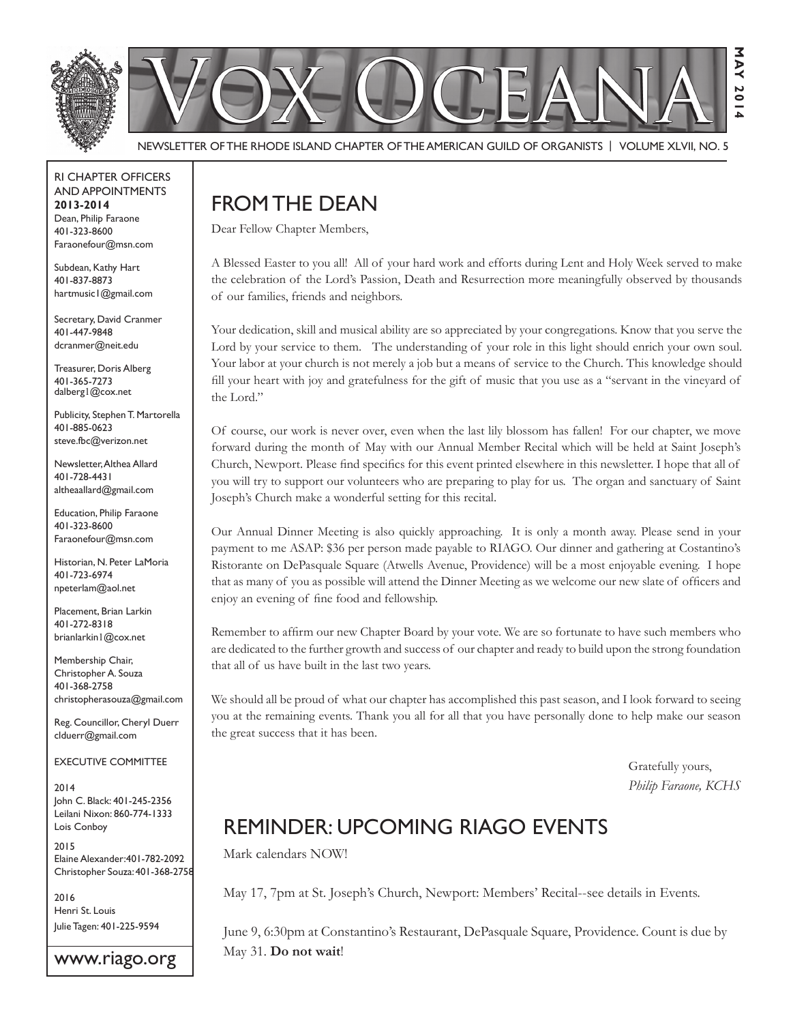

Newsletter of the Rhode Island Chapter of the American Guild of OrganistS | Volume XLVII, No. 5

RI Chapter Officers and Appointments **2013-2014** Dean, Philip Faraone 401-323-8600 Faraonefour@msn.com

Subdean, Kathy Hart 401-837-8873 hartmusic1@gmail.com

Secretary, David Cranmer 401-447-9848 dcranmer@neit.edu

Treasurer, Doris Alberg 401-365-7273 dalberg1@cox.net

Publicity, Stephen T. Martorella 401-885-0623 steve.fbc@verizon.net

Newsletter, Althea Allard 401-728-4431 altheaallard@gmail.com

Education, Philip Faraone 401-323-8600 Faraonefour@msn.com

Historian, N. Peter LaMoria 401-723-6974 npeterlam@aol.net

Placement, Brian Larkin 401-272-8318 brianlarkin1@cox.net

Membership Chair, Christopher A. Souza 401-368-2758 christopherasouza@gmail.com

Reg. Councillor, Cheryl Duerr clduerr@gmail.com

Executive Committee

2014 John C. Black: 401-245-2356 Leilani Nixon: 860-774-1333 Lois Conboy

2015 Elaine Alexander:401-782-2092 Christopher Souza: 401-368-2758

2016 Henri St. Louis Julie Tagen: 401-225-9594

www.riago.org

# FROM THE DEAN

Dear Fellow Chapter Members,

A Blessed Easter to you all! All of your hard work and efforts during Lent and Holy Week served to make the celebration of the Lord's Passion, Death and Resurrection more meaningfully observed by thousands of our families, friends and neighbors.

Your dedication, skill and musical ability are so appreciated by your congregations. Know that you serve the Lord by your service to them. The understanding of your role in this light should enrich your own soul. Your labor at your church is not merely a job but a means of service to the Church. This knowledge should fill your heart with joy and gratefulness for the gift of music that you use as a "servant in the vineyard of the Lord."

Of course, our work is never over, even when the last lily blossom has fallen! For our chapter, we move forward during the month of May with our Annual Member Recital which will be held at Saint Joseph's Church, Newport. Please find specifics for this event printed elsewhere in this newsletter. I hope that all of you will try to support our volunteers who are preparing to play for us. The organ and sanctuary of Saint Joseph's Church make a wonderful setting for this recital.

Our Annual Dinner Meeting is also quickly approaching. It is only a month away. Please send in your payment to me ASAP: \$36 per person made payable to RIAGO. Our dinner and gathering at Costantino's Ristorante on DePasquale Square (Atwells Avenue, Providence) will be a most enjoyable evening. I hope that as many of you as possible will attend the Dinner Meeting as we welcome our new slate of officers and enjoy an evening of fine food and fellowship.

Remember to affirm our new Chapter Board by your vote. We are so fortunate to have such members who are dedicated to the further growth and success of our chapter and ready to build upon the strong foundation that all of us have built in the last two years.

We should all be proud of what our chapter has accomplished this past season, and I look forward to seeing you at the remaining events. Thank you all for all that you have personally done to help make our season the great success that it has been.

> Gratefully yours, *Philip Faraone, KCHS*

# Reminder: Upcoming RIAGO Events

Mark calendars NOW!

May 17, 7pm at St. Joseph's Church, Newport: Members' Recital--see details in Events.

June 9, 6:30pm at Constantino's Restaurant, DePasquale Square, Providence. Count is due by May 31. **Do not wait**!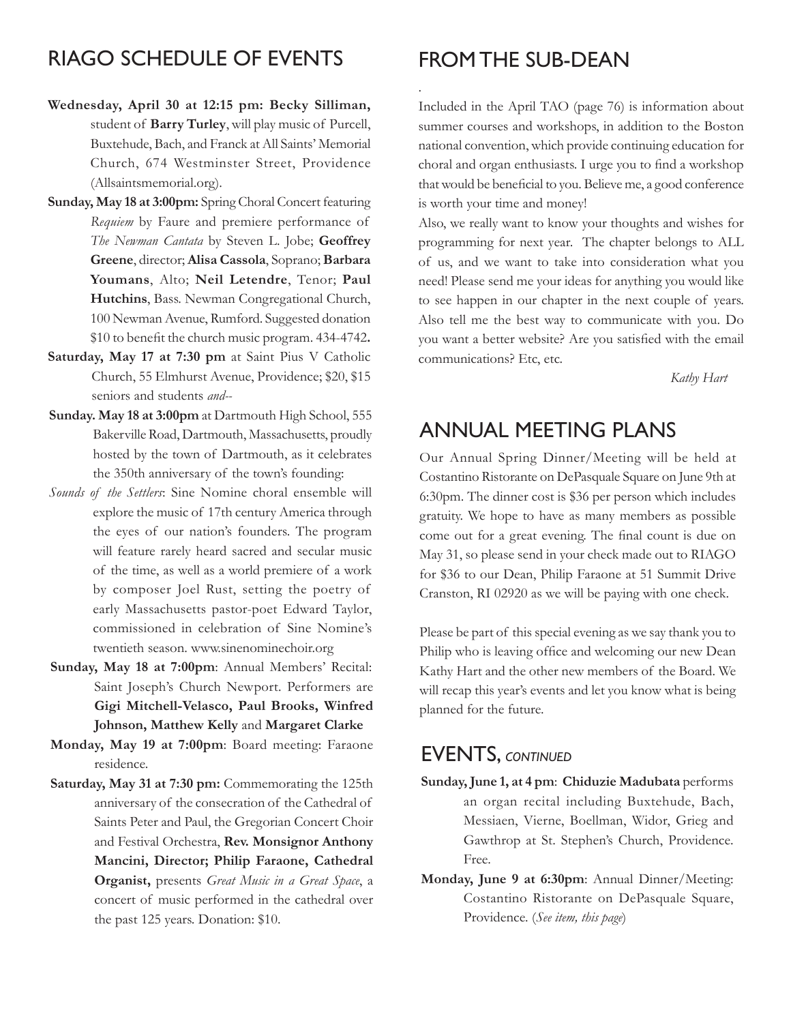#### RIAGO Schedule of Events

- **Wednesday, April 30 at 12:15 pm: Becky Silliman,**  student of **Barry Turley**, will play music of Purcell, Buxtehude, Bach, and Franck at All Saints' Memorial Church, 674 Westminster Street, Providence (Allsaintsmemorial.org).
- **Sunday, May 18 at 3:00pm:** Spring Choral Concert featuring *Requiem* by Faure and premiere performance of *The Newman Cantata* by Steven L. Jobe; **Geoffrey Greene**, director; **Alisa Cassola**, Soprano; **Barbara Youmans**, Alto; **Neil Letendre**, Tenor; **Paul Hutchins**, Bass. Newman Congregational Church, 100 Newman Avenue, Rumford. Suggested donation \$10 to benefit the church music program. 434-4742**.**
- **Saturday, May 17 at 7:30 pm** at Saint Pius V Catholic Church, 55 Elmhurst Avenue, Providence; \$20, \$15 seniors and students *and--*
- **Sunday. May 18 at 3:00pm** at Dartmouth High School, 555 Bakerville Road, Dartmouth, Massachusetts, proudly hosted by the town of Dartmouth, as it celebrates the 350th anniversary of the town's founding:
- *Sounds of the Settlers*: Sine Nomine choral ensemble will explore the music of 17th century America through the eyes of our nation's founders. The program will feature rarely heard sacred and secular music of the time, as well as a world premiere of a work by composer Joel Rust, setting the poetry of early Massachusetts pastor-poet Edward Taylor, commissioned in celebration of Sine Nomine's twentieth season. www.sinenominechoir.org
- **Sunday, May 18 at 7:00pm**: Annual Members' Recital: Saint Joseph's Church Newport. Performers are **Gigi Mitchell-Velasco, Paul Brooks, Winfred Johnson, Matthew Kelly** and **Margaret Clarke**
- **Monday, May 19 at 7:00pm**: Board meeting: Faraone residence.
- **Saturday, May 31 at 7:30 pm:** Commemorating the 125th anniversary of the consecration of the Cathedral of Saints Peter and Paul, the Gregorian Concert Choir and Festival Orchestra, **Rev. Monsignor Anthony Mancini, Director; Philip Faraone, Cathedral Organist,** presents *Great Music in a Great Space*, a concert of music performed in the cathedral over the past 125 years. Donation: \$10.

#### From the Sub-Dean

.

Included in the April TAO (page 76) is information about summer courses and workshops, in addition to the Boston national convention, which provide continuing education for choral and organ enthusiasts. I urge you to find a workshop that would be beneficial to you. Believe me, a good conference is worth your time and money!

Also, we really want to know your thoughts and wishes for programming for next year. The chapter belongs to ALL of us, and we want to take into consideration what you need! Please send me your ideas for anything you would like to see happen in our chapter in the next couple of years. Also tell me the best way to communicate with you. Do you want a better website? Are you satisfied with the email communications? Etc, etc.

*Kathy Hart*

#### Annual Meeting Plans

Our Annual Spring Dinner/Meeting will be held at Costantino Ristorante on DePasquale Square on June 9th at 6:30pm. The dinner cost is \$36 per person which includes gratuity. We hope to have as many members as possible come out for a great evening. The final count is due on May 31, so please send in your check made out to RIAGO for \$36 to our Dean, Philip Faraone at 51 Summit Drive Cranston, RI 02920 as we will be paying with one check.

Please be part of this special evening as we say thank you to Philip who is leaving office and welcoming our new Dean Kathy Hart and the other new members of the Board. We will recap this year's events and let you know what is being planned for the future.

#### **EVENTS, CONTINUED**

- **Sunday, June 1, at 4 pm**: **Chiduzie Madubata** performs an organ recital including Buxtehude, Bach, Messiaen, Vierne, Boellman, Widor, Grieg and Gawthrop at St. Stephen's Church, Providence. Free.
- **Monday, June 9 at 6:30pm**: Annual Dinner/Meeting: Costantino Ristorante on DePasquale Square, Providence. (*See item, this page*)